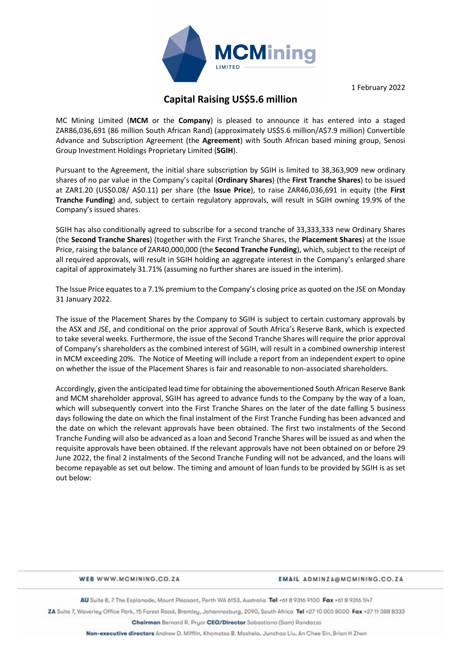

1 February 2022

# **Capital Raising US\$5.6 million**

MC Mining Limited (**MCM** or the **Company**) is pleased to announce it has entered into a staged ZAR86,036,691 (86 million South African Rand) (approximately US\$5.6 million/A\$7.9 million) Convertible Advance and Subscription Agreement (the **Agreement**) with South African based mining group, Senosi Group Investment Holdings Proprietary Limited (**SGIH**).

Pursuant to the Agreement, the initial share subscription by SGIH is limited to 38,363,909 new ordinary shares of no par value in the Company's capital (**Ordinary Shares**) (the **First Tranche Shares**) to be issued at ZAR1.20 (US\$0.08/ A\$0.11) per share (the **Issue Price**), to raise ZAR46,036,691 in equity (the **First Tranche Funding**) and, subject to certain regulatory approvals, will result in SGIH owning 19.9% of the Company's issued shares.

SGIH has also conditionally agreed to subscribe for a second tranche of 33,333,333 new Ordinary Shares (the **Second Tranche Shares**) (together with the First Tranche Shares, the **Placement Shares**) at the Issue Price, raising the balance of ZAR40,000,000 (the **Second Tranche Funding**), which, subject to the receipt of all required approvals, will result in SGIH holding an aggregate interest in the Company's enlarged share capital of approximately 31.71% (assuming no further shares are issued in the interim).

The Issue Price equates to a 7.1% premium to the Company's closing price as quoted on the JSE on Monday 31 January 2022.

The issue of the Placement Shares by the Company to SGIH is subject to certain customary approvals by the ASX and JSE, and conditional on the prior approval of South Africa's Reserve Bank, which is expected to take several weeks. Furthermore, the issue of the Second Tranche Shares will require the prior approval of Company's shareholders as the combined interest of SGIH, will result in a combined ownership interest in MCM exceeding 20%. The Notice of Meeting will include a report from an independent expert to opine on whether the issue of the Placement Shares is fair and reasonable to non-associated shareholders.

Accordingly, given the anticipated lead time for obtaining the abovementioned South African Reserve Bank and MCM shareholder approval, SGIH has agreed to advance funds to the Company by the way of a loan, which will subsequently convert into the First Tranche Shares on the later of the date falling 5 business days following the date on which the final instalment of the First Tranche Funding has been advanced and the date on which the relevant approvals have been obtained. The first two instalments of the Second Tranche Funding will also be advanced as a loan and Second Tranche Shares will be issued as and when the requisite approvals have been obtained. If the relevant approvals have not been obtained on or before 29 June 2022, the final 2 instalments of the Second Tranche Funding will not be advanced, and the loans will become repayable as set out below. The timing and amount of loan funds to be provided by SGIH is as set out below:

#### WER WWW.MCMINING.CO.ZA

#### EMAIL ADMINZA@MCMINING.CO.ZA

AU Suite 8, 7 The Esplanade, Mount Pleasant, Perth WA 6153, Australia Tel +61 8 9316 9100 Fax +61 8 9316 547

ZA Suite 7, Waverley Office Park, 15 Forest Road, Bramley, Johannesburg, 2090, South Africa Tel +27 10 003 8000 Fax +27 11 388 8333

Chairman Bernard R. Pryor CEO/Director Sabastiano (Sam) Randazzo

Non-executive directors Andrew D. Mifflin, Khomotso B. Moshela, Junchao Liu, An Chee Sin, Brian H Zhen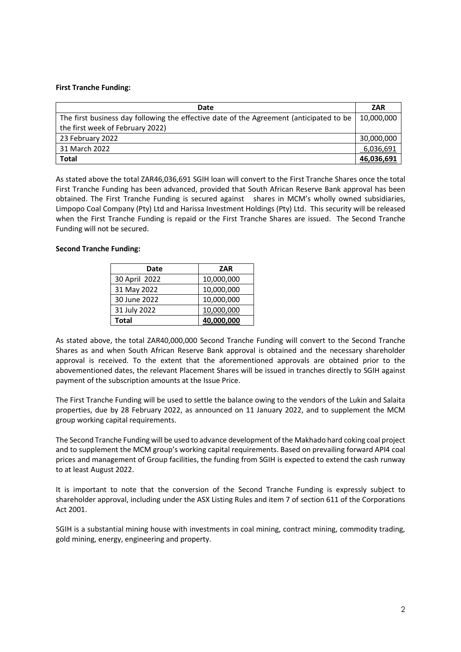### **First Tranche Funding:**

| Date                                                                                    | <b>ZAR</b> |
|-----------------------------------------------------------------------------------------|------------|
| The first business day following the effective date of the Agreement (anticipated to be | 10,000,000 |
| the first week of February 2022)                                                        |            |
| 23 February 2022                                                                        | 30,000,000 |
| 31 March 2022                                                                           | 6,036,691  |
| <b>Total</b>                                                                            | 46,036,691 |

As stated above the total ZAR46,036,691 SGIH loan will convert to the First Tranche Shares once the total First Tranche Funding has been advanced, provided that South African Reserve Bank approval has been obtained. The First Tranche Funding is secured against shares in MCM's wholly owned subsidiaries, Limpopo Coal Company (Pty) Ltd and Harissa Investment Holdings (Pty) Ltd. This security will be released when the First Tranche Funding is repaid or the First Tranche Shares are issued. The Second Tranche Funding will not be secured.

#### **Second Tranche Funding:**

| Date          | ZAR        |  |
|---------------|------------|--|
| 30 April 2022 | 10,000,000 |  |
| 31 May 2022   | 10,000,000 |  |
| 30 June 2022  | 10,000,000 |  |
| 31 July 2022  | 10,000,000 |  |
| <b>Total</b>  | 40,000,000 |  |

As stated above, the total ZAR40,000,000 Second Tranche Funding will convert to the Second Tranche Shares as and when South African Reserve Bank approval is obtained and the necessary shareholder approval is received. To the extent that the aforementioned approvals are obtained prior to the abovementioned dates, the relevant Placement Shares will be issued in tranches directly to SGIH against payment of the subscription amounts at the Issue Price.

The First Tranche Funding will be used to settle the balance owing to the vendors of the Lukin and Salaita properties, due by 28 February 2022, as announced on 11 January 2022, and to supplement the MCM group working capital requirements.

The Second Tranche Funding will be used to advance development of the Makhado hard coking coal project and to supplement the MCM group's working capital requirements. Based on prevailing forward API4 coal prices and management of Group facilities, the funding from SGIH is expected to extend the cash runway to at least August 2022.

It is important to note that the conversion of the Second Tranche Funding is expressly subject to shareholder approval, including under the ASX Listing Rules and item 7 of section 611 of the Corporations Act 2001.

SGIH is a substantial mining house with investments in coal mining, contract mining, commodity trading, gold mining, energy, engineering and property.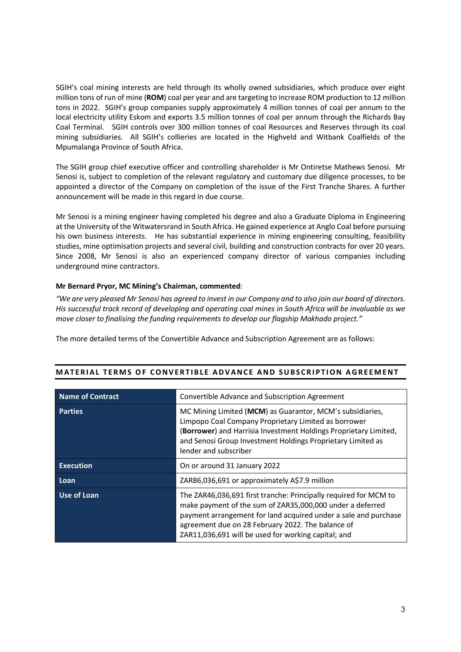SGIH's coal mining interests are held through its wholly owned subsidiaries, which produce over eight million tons of run of mine (**ROM**) coal per year and are targeting to increase ROM production to 12 million tons in 2022. SGIH's group companies supply approximately 4 million tonnes of coal per annum to the local electricity utility Eskom and exports 3.5 million tonnes of coal per annum through the Richards Bay Coal Terminal. SGIH controls over 300 million tonnes of coal Resources and Reserves through its coal mining subsidiaries. All SGIH's collieries are located in the Highveld and Witbank Coalfields of the Mpumalanga Province of South Africa.

The SGIH group chief executive officer and controlling shareholder is Mr Ontiretse Mathews Senosi. Mr Senosi is, subject to completion of the relevant regulatory and customary due diligence processes, to be appointed a director of the Company on completion of the issue of the First Tranche Shares. A further announcement will be made in this regard in due course.

Mr Senosi is a mining engineer having completed his degree and also a Graduate Diploma in Engineering at the University of the Witwatersrand in South Africa. He gained experience at Anglo Coal before pursuing his own business interests. He has substantial experience in mining engineering consulting, feasibility studies, mine optimisation projects and several civil, building and construction contracts for over 20 years. Since 2008, Mr Senosi is also an experienced company director of various companies including underground mine contractors.

## **Mr Bernard Pryor, MC Mining's Chairman, commented**:

*"We are very pleased Mr Senosi has agreed to invest in our Company and to also join our board of directors. His successful track record of developing and operating coal mines in South Africa will be invaluable as we move closer to finalising the funding requirements to develop our flagship Makhado project."* 

The more detailed terms of the Convertible Advance and Subscription Agreement are as follows:

| <b>Name of Contract</b> | Convertible Advance and Subscription Agreement                                                                                                                                                                                                                                                               |
|-------------------------|--------------------------------------------------------------------------------------------------------------------------------------------------------------------------------------------------------------------------------------------------------------------------------------------------------------|
| <b>Parties</b>          | MC Mining Limited (MCM) as Guarantor, MCM's subsidiaries,<br>Limpopo Coal Company Proprietary Limited as borrower<br>(Borrower) and Harrisia Investment Holdings Proprietary Limited,<br>and Senosi Group Investment Holdings Proprietary Limited as<br>lender and subscriber                                |
| <b>Execution</b>        | On or around 31 January 2022                                                                                                                                                                                                                                                                                 |
| Loan                    | ZAR86,036,691 or approximately A\$7.9 million                                                                                                                                                                                                                                                                |
| Use of Loan             | The ZAR46,036,691 first tranche: Principally required for MCM to<br>make payment of the sum of ZAR35,000,000 under a deferred<br>payment arrangement for land acquired under a sale and purchase<br>agreement due on 28 February 2022. The balance of<br>ZAR11,036,691 will be used for working capital; and |

#### **MATERIAL TERMS OF CONVERTIBLE ADVANCE AND SUBSCRIPTION AGREEMENT**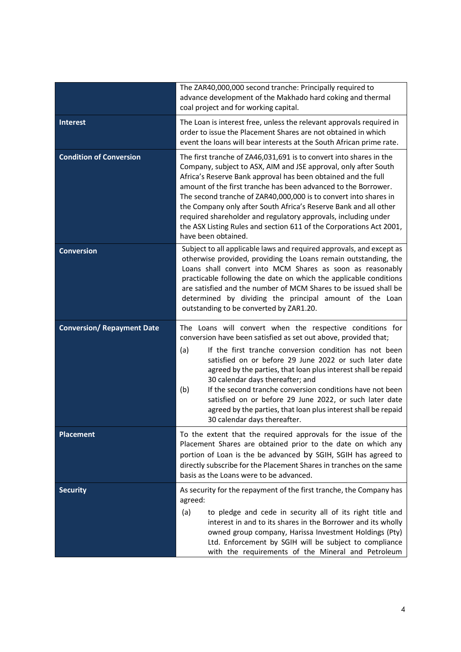|                                   | The ZAR40,000,000 second tranche: Principally required to<br>advance development of the Makhado hard coking and thermal<br>coal project and for working capital.                                                                                                                                                                                                                                                                                                                                                                                                                               |  |  |
|-----------------------------------|------------------------------------------------------------------------------------------------------------------------------------------------------------------------------------------------------------------------------------------------------------------------------------------------------------------------------------------------------------------------------------------------------------------------------------------------------------------------------------------------------------------------------------------------------------------------------------------------|--|--|
| <b>Interest</b>                   | The Loan is interest free, unless the relevant approvals required in<br>order to issue the Placement Shares are not obtained in which<br>event the loans will bear interests at the South African prime rate.                                                                                                                                                                                                                                                                                                                                                                                  |  |  |
| <b>Condition of Conversion</b>    | The first tranche of ZA46,031,691 is to convert into shares in the<br>Company, subject to ASX, AIM and JSE approval, only after South<br>Africa's Reserve Bank approval has been obtained and the full<br>amount of the first tranche has been advanced to the Borrower.<br>The second tranche of ZAR40,000,000 is to convert into shares in<br>the Company only after South Africa's Reserve Bank and all other<br>required shareholder and regulatory approvals, including under<br>the ASX Listing Rules and section 611 of the Corporations Act 2001,<br>have been obtained.               |  |  |
| <b>Conversion</b>                 | Subject to all applicable laws and required approvals, and except as<br>otherwise provided, providing the Loans remain outstanding, the<br>Loans shall convert into MCM Shares as soon as reasonably<br>practicable following the date on which the applicable conditions<br>are satisfied and the number of MCM Shares to be issued shall be<br>determined by dividing the principal amount of the Loan<br>outstanding to be converted by ZAR1.20.                                                                                                                                            |  |  |
| <b>Conversion/ Repayment Date</b> | The Loans will convert when the respective conditions for<br>conversion have been satisfied as set out above, provided that;<br>If the first tranche conversion condition has not been<br>(a)<br>satisfied on or before 29 June 2022 or such later date<br>agreed by the parties, that loan plus interest shall be repaid<br>30 calendar days thereafter; and<br>If the second tranche conversion conditions have not been<br>(b)<br>satisfied on or before 29 June 2022, or such later date<br>agreed by the parties, that loan plus interest shall be repaid<br>30 calendar days thereafter. |  |  |
| <b>Placement</b>                  | To the extent that the required approvals for the issue of the<br>Placement Shares are obtained prior to the date on which any<br>portion of Loan is the be advanced by SGIH, SGIH has agreed to<br>directly subscribe for the Placement Shares in tranches on the same<br>basis as the Loans were to be advanced.                                                                                                                                                                                                                                                                             |  |  |
| <b>Security</b>                   | As security for the repayment of the first tranche, the Company has<br>agreed:<br>(a)<br>to pledge and cede in security all of its right title and<br>interest in and to its shares in the Borrower and its wholly<br>owned group company, Harissa Investment Holdings (Pty)<br>Ltd. Enforcement by SGIH will be subject to compliance<br>with the requirements of the Mineral and Petroleum                                                                                                                                                                                                   |  |  |